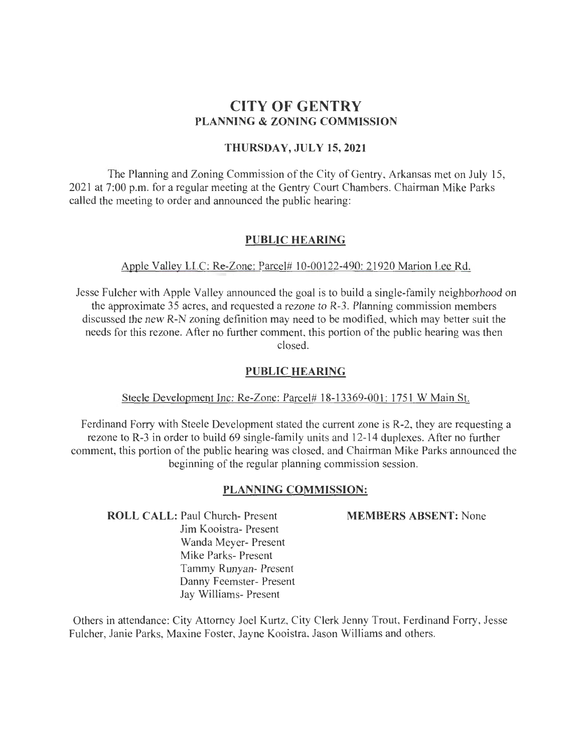# **CITY OF GENTRY PLANNING & ZONING COMMISSION**

## **THURSDAY, JULY 15,2021**

The Planning and Zoning Commission of the City of Gentry, Arkansas met on July 15, 2021 at 7:00 p.m. for a regular meeting at the Gentry Court Chambers. Chairman Mike Parks called the meeting to order and announced the public hearing:

## **PUBLIC HEARING**

## Apple Valley LLC: Re-Zone: Parcel# 10-00122-490: 21920 Marion Lee Rd.

Jesse Fulcher with Apple Valley announced the goal is to build a single-family neighborhood on the approximate 35 acres, and requested a rezone to R-3. Planning commission members discussed the new R-N zoning definition may need to be modified, which may better suit the needs for this rezone. After no further comment, this portion of the public hearing was then closed.

### **PUBLIC HEARING**

#### Steele Development Inc: Re-Zone: Parcel# 18-13369-001 : 1751 W Main St.

Ferdinand Forry with Steele Development stated the current zone is R-2, they are requesting a rezone to R-3 in order to build 69 single-family units and 12-14 duplexes. After no further comment, this portion of the public hearing was closed, and Chairman Mike Parks announced the beginning of the regular planning commission session.

#### **PLANNING COMMISSION:**

**ROLL CALL:** Paul Church- Present Jim Kooistra- Present Wanda Meyer- Present Mike Parks- Present Tammy Runyan- Present Danny Feemster- Present Jay Williams- Present

**MEMBERS ABSENT:** None

Others in attendance: City Attorney Joel Kurtz, City Clerk Jenny Trout, Ferdinand Forry, Jesse Fulcher, Janie Parks, Maxine Foster, Jayne Kooistra, Jason Williams and others.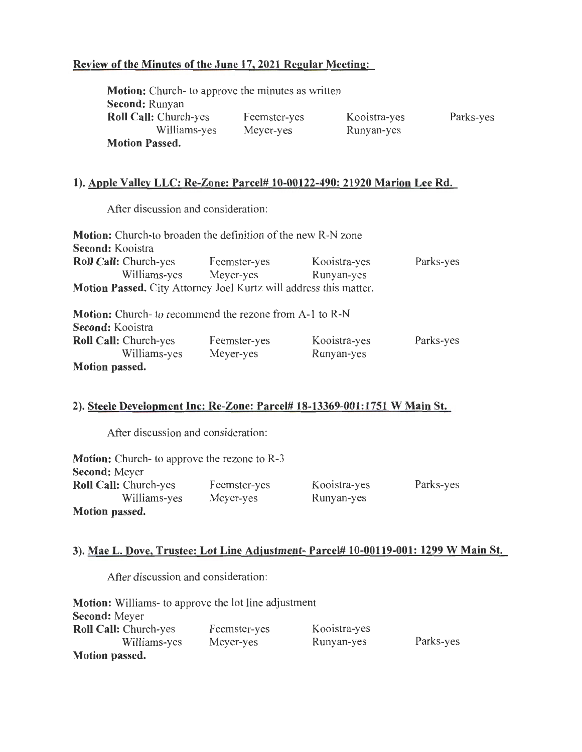# **Review of the Minutes of the June 17, 2021 Regular Meeting:**

| <b>Motion:</b> Church- to approve the minutes as written |              |              |           |
|----------------------------------------------------------|--------------|--------------|-----------|
| <b>Second: Runyan</b>                                    |              |              |           |
| <b>Roll Call:</b> Church-yes                             | Feemster-yes | Kooistra-yes | Parks-yes |
| Williams-yes                                             | Meyer-yes    | Runyan-yes   |           |
| <b>Motion Passed.</b>                                    |              |              |           |

## **1). Apple Valley LLC: Re-Zone: Parcel# 10-00122-490: 21920 Marion Lee Rd.**

After discussion and consideration:

| <b>Motion:</b> Church-to broaden the definition of the new R-N zone      |              |              |           |
|--------------------------------------------------------------------------|--------------|--------------|-----------|
| Second: Kooistra                                                         |              |              |           |
| <b>Roll Call: Church-yes</b>                                             | Feemster-yes | Kooistra-yes | Parks-yes |
| Williams-yes                                                             | Meyer-yes    | Runyan-yes   |           |
| <b>Motion Passed.</b> City Attorney Joel Kurtz will address this matter. |              |              |           |
| <b>Motion:</b> Church- to recommend the rezone from A-1 to R-N           |              |              |           |
| Second: Kooistra                                                         |              |              |           |
| <b>Roll Call:</b> Church-yes                                             | Feemster-yes | Kooistra-yes | Parks-yes |
| Williams-yes                                                             | Meyer-yes    | Runyan-yes   |           |
| Motion passed.                                                           |              |              |           |

# **2). Steele Development Inc: Re-Zone: Parcel# 18-13369-001:1751 W Main St.**

After discussion and consideration:

| <b>Motion:</b> Church- to approve the rezone to R-3 |              |              |           |
|-----------------------------------------------------|--------------|--------------|-----------|
| <b>Second:</b> Meyer                                |              |              |           |
| <b>Roll Call: Church-yes</b>                        | Feemster-yes | Kooistra-yes | Parks-yes |
| Williams-yes                                        | Meyer-yes    | Runyan-yes   |           |
| Motion passed.                                      |              |              |           |

## **3). Mae L. Dove, Trustee: Lot Line Adjustment- Parcel# 10-00119-001: 1299 W Main St.**

After discussion and consideration:

| <b>Motion:</b> Williams- to approve the lot line adjustment |              |              |           |
|-------------------------------------------------------------|--------------|--------------|-----------|
| <b>Second:</b> Meyer                                        |              |              |           |
| <b>Roll Call:</b> Church-yes                                | Feemster-yes | Kooistra-yes |           |
| Williams-yes                                                | Meyer-yes    | Runyan-yes   | Parks-yes |
| Motion passed.                                              |              |              |           |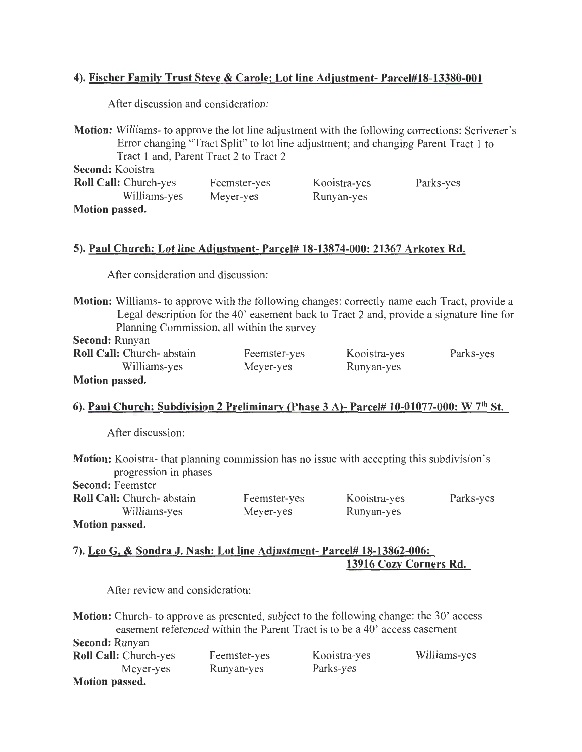## 4). Fischer Family Trust Steve & Carole: Lot line Adjustment- Parcel#18-13380-001

After discussion and consideration:

Motion: Williams- to approve the lot line adjustment with the following corrections: Scrivener's Error changing "Tract Split" to lot line adjustment; and changing Parent Tract 1 to Tract 1 and, Parent Tract 2 to Tract 2

Second: Kooistra

| <b>Roll Call:</b> Church-yes | Feemster-yes | Kooistra-yes | Parks-yes |
|------------------------------|--------------|--------------|-----------|
| Williams-yes                 | Meyer-yes    | Runyan-yes   |           |
| <b>Motion passed.</b>        |              |              |           |

## 5). Paul Church: Lot line Adjustment- Parcel# 18-13874-000: 21367 Arkotex Rd.

After consideration and discussion:

Motion: Williams- to approve with the following changes: correctly name each Tract, provide a Legal description for the 40' easement back to Tract 2 and, provide a signature line for Planning Commission, all within the survey

Second: Runyan Roll Call: Church- abstain

|                       | ROIL Call: Chuich- abstail |
|-----------------------|----------------------------|
|                       | Williams-yes               |
| <b>Motion passed.</b> |                            |

Feemster-yes Meyer-yes

Kooistra-yes Runyan-yes

Parks-yes

## 6). Paul Church: Subdivision 2 Preliminary (Phase 3 A)- Parcel# 10-01077-000: W 7th St.

After discussion:

Motion: Kooistra- that planning commission has no issue with accepting this subdivision's progression in phases

> Feemster-yes Meyer-yes

| <b>Second: Feemster</b>          |  |  |
|----------------------------------|--|--|
| <b>Roll Call:</b> Church-abstain |  |  |
| Williams-yes                     |  |  |
| <b>Motion passed.</b>            |  |  |

Kooistra-yes Runyan-yes

Parks-yes

7). Leo G. & Sondra J. Nash: Lot line Adjustment- Parcel# 18-13862-006: 13916 Cozy Corners Rd.

After review and consideration:

Motion: Church- to approve as presented, subject to the following change: the 30' access easement referenced within the Parent Tract is to be a 40' access easement Second: Runyan

| $\sigma$ ctunu. Kunyan       |              |              |              |
|------------------------------|--------------|--------------|--------------|
| <b>Roll Call:</b> Church-yes | Feemster-yes | Kooistra-yes | Williams-yes |
| Meyer-yes                    | Runyan-yes   | Parks-yes    |              |
| <b>Motion passed.</b>        |              |              |              |